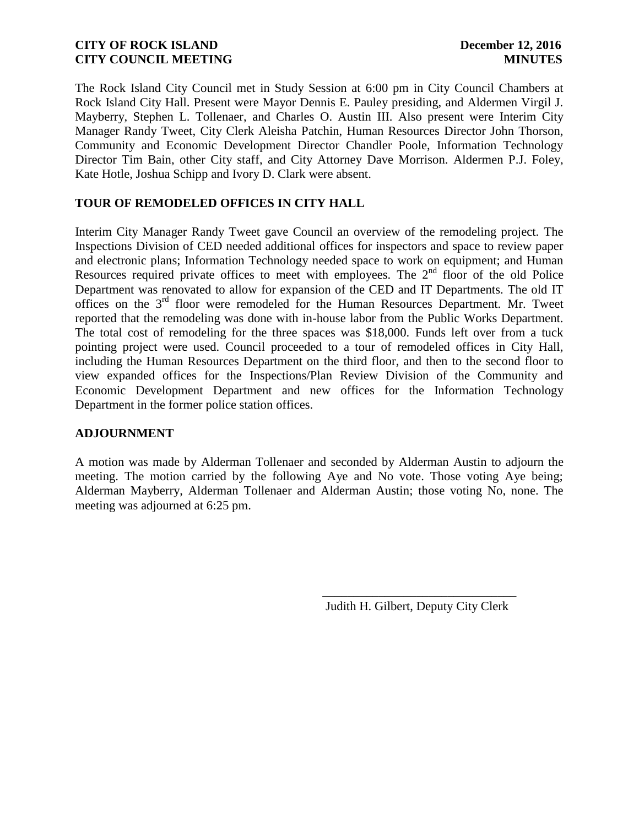The Rock Island City Council met in Study Session at 6:00 pm in City Council Chambers at Rock Island City Hall. Present were Mayor Dennis E. Pauley presiding, and Aldermen Virgil J. Mayberry, Stephen L. Tollenaer, and Charles O. Austin III. Also present were Interim City Manager Randy Tweet, City Clerk Aleisha Patchin, Human Resources Director John Thorson, Community and Economic Development Director Chandler Poole, Information Technology Director Tim Bain, other City staff, and City Attorney Dave Morrison. Aldermen P.J. Foley, Kate Hotle, Joshua Schipp and Ivory D. Clark were absent.

### **TOUR OF REMODELED OFFICES IN CITY HALL**

Interim City Manager Randy Tweet gave Council an overview of the remodeling project. The Inspections Division of CED needed additional offices for inspectors and space to review paper and electronic plans; Information Technology needed space to work on equipment; and Human Resources required private offices to meet with employees. The  $2<sup>nd</sup>$  floor of the old Police Department was renovated to allow for expansion of the CED and IT Departments. The old IT offices on the 3rd floor were remodeled for the Human Resources Department. Mr. Tweet reported that the remodeling was done with in-house labor from the Public Works Department. The total cost of remodeling for the three spaces was \$18,000. Funds left over from a tuck pointing project were used. Council proceeded to a tour of remodeled offices in City Hall, including the Human Resources Department on the third floor, and then to the second floor to view expanded offices for the Inspections/Plan Review Division of the Community and Economic Development Department and new offices for the Information Technology Department in the former police station offices.

### **ADJOURNMENT**

A motion was made by Alderman Tollenaer and seconded by Alderman Austin to adjourn the meeting. The motion carried by the following Aye and No vote. Those voting Aye being; Alderman Mayberry, Alderman Tollenaer and Alderman Austin; those voting No, none. The meeting was adjourned at 6:25 pm.

 $\overline{\phantom{a}}$  , and the contract of the contract of the contract of the contract of the contract of the contract of the contract of the contract of the contract of the contract of the contract of the contract of the contrac

Judith H. Gilbert, Deputy City Clerk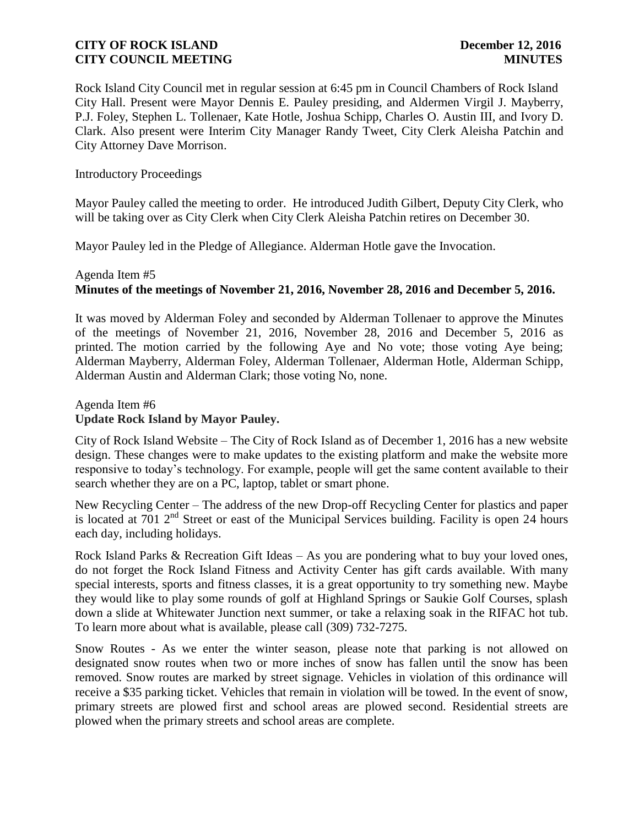Rock Island City Council met in regular session at 6:45 pm in Council Chambers of Rock Island City Hall. Present were Mayor Dennis E. Pauley presiding, and Aldermen Virgil J. Mayberry, P.J. Foley, Stephen L. Tollenaer, Kate Hotle, Joshua Schipp, Charles O. Austin III, and Ivory D. Clark. Also present were Interim City Manager Randy Tweet, City Clerk Aleisha Patchin and City Attorney Dave Morrison.

### Introductory Proceedings

Mayor Pauley called the meeting to order. He introduced Judith Gilbert, Deputy City Clerk, who will be taking over as City Clerk when City Clerk Aleisha Patchin retires on December 30.

Mayor Pauley led in the Pledge of Allegiance. Alderman Hotle gave the Invocation.

# Agenda Item #5 **Minutes of the meetings of November 21, 2016, November 28, 2016 and December 5, 2016.**

It was moved by Alderman Foley and seconded by Alderman Tollenaer to approve the Minutes of the meetings of November 21, 2016, November 28, 2016 and December 5, 2016 as printed. The motion carried by the following Aye and No vote; those voting Aye being; Alderman Mayberry, Alderman Foley, Alderman Tollenaer, Alderman Hotle, Alderman Schipp, Alderman Austin and Alderman Clark; those voting No, none.

Agenda Item #6 **Update Rock Island by Mayor Pauley.** 

City of Rock Island Website – The City of Rock Island as of December 1, 2016 has a new website design. These changes were to make updates to the existing platform and make the website more responsive to today's technology. For example, people will get the same content available to their search whether they are on a PC, laptop, tablet or smart phone.

New Recycling Center – The address of the new Drop-off Recycling Center for plastics and paper is located at 701  $2<sup>nd</sup>$  Street or east of the Municipal Services building. Facility is open 24 hours each day, including holidays.

Rock Island Parks & Recreation Gift Ideas – As you are pondering what to buy your loved ones, do not forget the Rock Island Fitness and Activity Center has gift cards available. With many special interests, sports and fitness classes, it is a great opportunity to try something new. Maybe they would like to play some rounds of golf at Highland Springs or Saukie Golf Courses, splash down a slide at Whitewater Junction next summer, or take a relaxing soak in the RIFAC hot tub. To learn more about what is available, please call (309) 732-7275.

Snow Routes - As we enter the winter season, please note that parking is not allowed on designated snow routes when two or more inches of snow has fallen until the snow has been removed. Snow routes are marked by street signage. Vehicles in violation of this ordinance will receive a \$35 parking ticket. Vehicles that remain in violation will be towed. In the event of snow, primary streets are plowed first and school areas are plowed second. Residential streets are plowed when the primary streets and school areas are complete.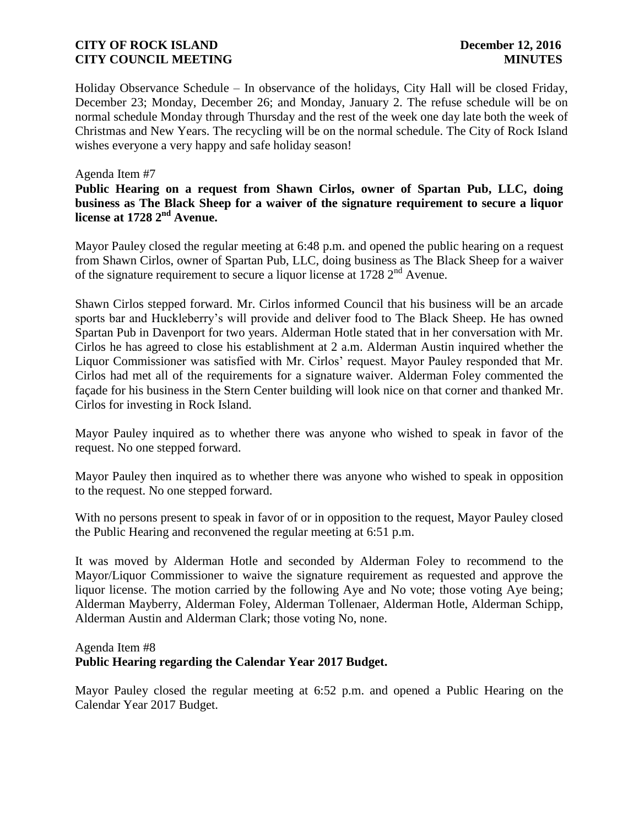Holiday Observance Schedule – In observance of the holidays, City Hall will be closed Friday, December 23; Monday, December 26; and Monday, January 2. The refuse schedule will be on normal schedule Monday through Thursday and the rest of the week one day late both the week of Christmas and New Years. The recycling will be on the normal schedule. The City of Rock Island wishes everyone a very happy and safe holiday season!

### Agenda Item #7

**Public Hearing on a request from Shawn Cirlos, owner of Spartan Pub, LLC, doing business as The Black Sheep for a waiver of the signature requirement to secure a liquor license at 1728 2nd Avenue.**

Mayor Pauley closed the regular meeting at 6:48 p.m. and opened the public hearing on a request from Shawn Cirlos, owner of Spartan Pub, LLC, doing business as The Black Sheep for a waiver of the signature requirement to secure a liquor license at  $1728 \, 2^{nd}$  Avenue.

Shawn Cirlos stepped forward. Mr. Cirlos informed Council that his business will be an arcade sports bar and Huckleberry's will provide and deliver food to The Black Sheep. He has owned Spartan Pub in Davenport for two years. Alderman Hotle stated that in her conversation with Mr. Cirlos he has agreed to close his establishment at 2 a.m. Alderman Austin inquired whether the Liquor Commissioner was satisfied with Mr. Cirlos' request. Mayor Pauley responded that Mr. Cirlos had met all of the requirements for a signature waiver. Alderman Foley commented the façade for his business in the Stern Center building will look nice on that corner and thanked Mr. Cirlos for investing in Rock Island.

Mayor Pauley inquired as to whether there was anyone who wished to speak in favor of the request. No one stepped forward.

Mayor Pauley then inquired as to whether there was anyone who wished to speak in opposition to the request. No one stepped forward.

With no persons present to speak in favor of or in opposition to the request, Mayor Pauley closed the Public Hearing and reconvened the regular meeting at 6:51 p.m.

It was moved by Alderman Hotle and seconded by Alderman Foley to recommend to the Mayor/Liquor Commissioner to waive the signature requirement as requested and approve the liquor license. The motion carried by the following Aye and No vote; those voting Aye being; Alderman Mayberry, Alderman Foley, Alderman Tollenaer, Alderman Hotle, Alderman Schipp, Alderman Austin and Alderman Clark; those voting No, none.

# Agenda Item #8 **Public Hearing regarding the Calendar Year 2017 Budget.**

Mayor Pauley closed the regular meeting at 6:52 p.m. and opened a Public Hearing on the Calendar Year 2017 Budget.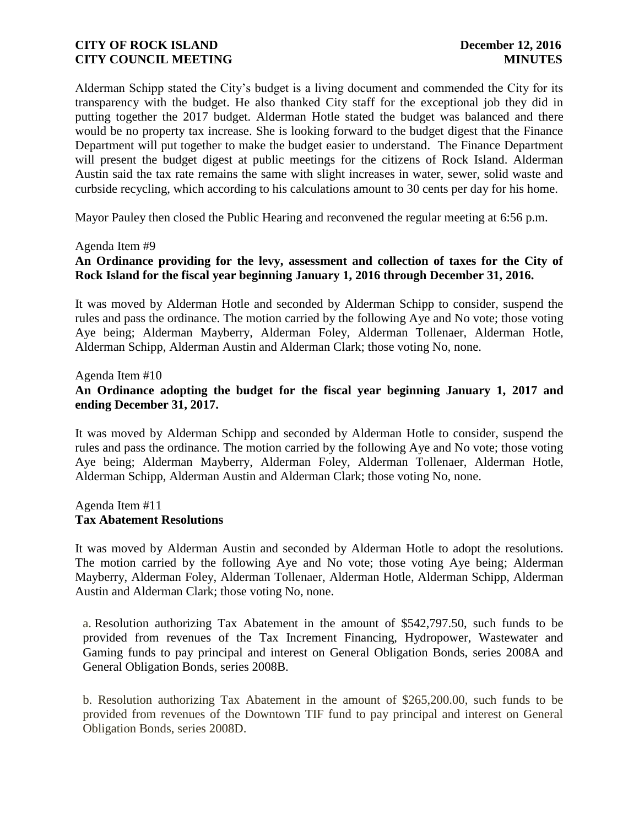Alderman Schipp stated the City's budget is a living document and commended the City for its transparency with the budget. He also thanked City staff for the exceptional job they did in putting together the 2017 budget. Alderman Hotle stated the budget was balanced and there would be no property tax increase. She is looking forward to the budget digest that the Finance Department will put together to make the budget easier to understand. The Finance Department will present the budget digest at public meetings for the citizens of Rock Island. Alderman Austin said the tax rate remains the same with slight increases in water, sewer, solid waste and curbside recycling, which according to his calculations amount to 30 cents per day for his home.

Mayor Pauley then closed the Public Hearing and reconvened the regular meeting at 6:56 p.m.

#### Agenda Item #9

### **An Ordinance providing for the levy, assessment and collection of taxes for the City of Rock Island for the fiscal year beginning January 1, 2016 through December 31, 2016.**

It was moved by Alderman Hotle and seconded by Alderman Schipp to consider, suspend the rules and pass the ordinance. The motion carried by the following Aye and No vote; those voting Aye being; Alderman Mayberry, Alderman Foley, Alderman Tollenaer, Alderman Hotle, Alderman Schipp, Alderman Austin and Alderman Clark; those voting No, none.

# Agenda Item #10 **An Ordinance adopting the budget for the fiscal year beginning January 1, 2017 and ending December 31, 2017.**

It was moved by Alderman Schipp and seconded by Alderman Hotle to consider, suspend the rules and pass the ordinance. The motion carried by the following Aye and No vote; those voting Aye being; Alderman Mayberry, Alderman Foley, Alderman Tollenaer, Alderman Hotle, Alderman Schipp, Alderman Austin and Alderman Clark; those voting No, none.

#### Agenda Item #11 **Tax Abatement Resolutions**

It was moved by Alderman Austin and seconded by Alderman Hotle to adopt the resolutions. The motion carried by the following Aye and No vote; those voting Aye being; Alderman Mayberry, Alderman Foley, Alderman Tollenaer, Alderman Hotle, Alderman Schipp, Alderman Austin and Alderman Clark; those voting No, none.

a. Resolution authorizing Tax Abatement in the amount of \$542,797.50, such funds to be provided from revenues of the Tax Increment Financing, Hydropower, Wastewater and Gaming funds to pay principal and interest on General Obligation Bonds, series 2008A and General Obligation Bonds, series 2008B.

b. Resolution authorizing Tax Abatement in the amount of \$265,200.00, such funds to be provided from revenues of the Downtown TIF fund to pay principal and interest on General Obligation Bonds, series 2008D.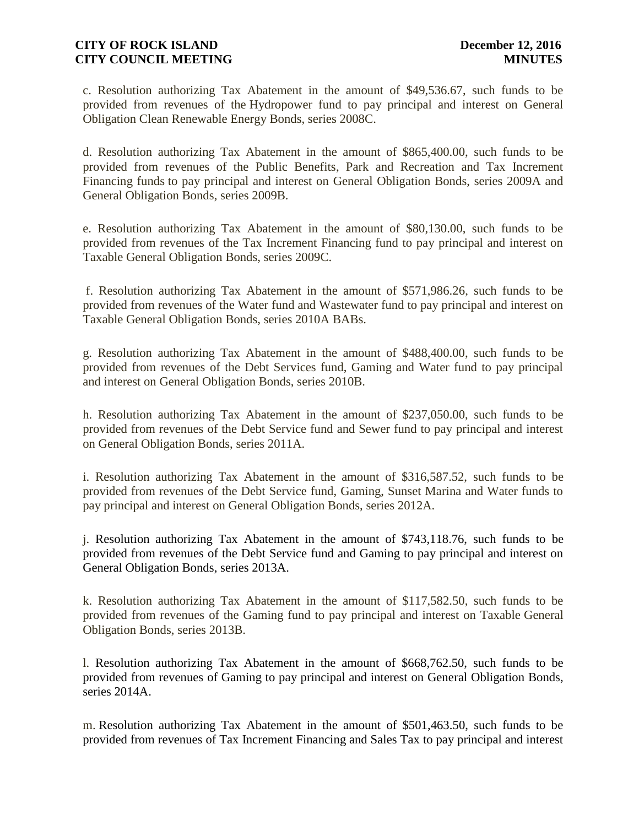c. Resolution authorizing Tax Abatement in the amount of \$49,536.67, such funds to be provided from revenues of the Hydropower fund to pay principal and interest on General Obligation Clean Renewable Energy Bonds, series 2008C.

d. Resolution authorizing Tax Abatement in the amount of \$865,400.00, such funds to be provided from revenues of the Public Benefits, Park and Recreation and Tax Increment Financing funds to pay principal and interest on General Obligation Bonds, series 2009A and General Obligation Bonds, series 2009B.

e. Resolution authorizing Tax Abatement in the amount of \$80,130.00, such funds to be provided from revenues of the Tax Increment Financing fund to pay principal and interest on Taxable General Obligation Bonds, series 2009C.

f. Resolution authorizing Tax Abatement in the amount of \$571,986.26, such funds to be provided from revenues of the Water fund and Wastewater fund to pay principal and interest on Taxable General Obligation Bonds, series 2010A BABs.

g. Resolution authorizing Tax Abatement in the amount of \$488,400.00, such funds to be provided from revenues of the Debt Services fund, Gaming and Water fund to pay principal and interest on General Obligation Bonds, series 2010B.

h. Resolution authorizing Tax Abatement in the amount of \$237,050.00, such funds to be provided from revenues of the Debt Service fund and Sewer fund to pay principal and interest on General Obligation Bonds, series 2011A.

i. Resolution authorizing Tax Abatement in the amount of \$316,587.52, such funds to be provided from revenues of the Debt Service fund, Gaming, Sunset Marina and Water funds to pay principal and interest on General Obligation Bonds, series 2012A.

j. Resolution authorizing Tax Abatement in the amount of \$743,118.76, such funds to be provided from revenues of the Debt Service fund and Gaming to pay principal and interest on General Obligation Bonds, series 2013A.

k. Resolution authorizing Tax Abatement in the amount of \$117,582.50, such funds to be provided from revenues of the Gaming fund to pay principal and interest on Taxable General Obligation Bonds, series 2013B.

l. Resolution authorizing Tax Abatement in the amount of \$668,762.50, such funds to be provided from revenues of Gaming to pay principal and interest on General Obligation Bonds, series 2014A.

m. Resolution authorizing Tax Abatement in the amount of \$501,463.50, such funds to be provided from revenues of Tax Increment Financing and Sales Tax to pay principal and interest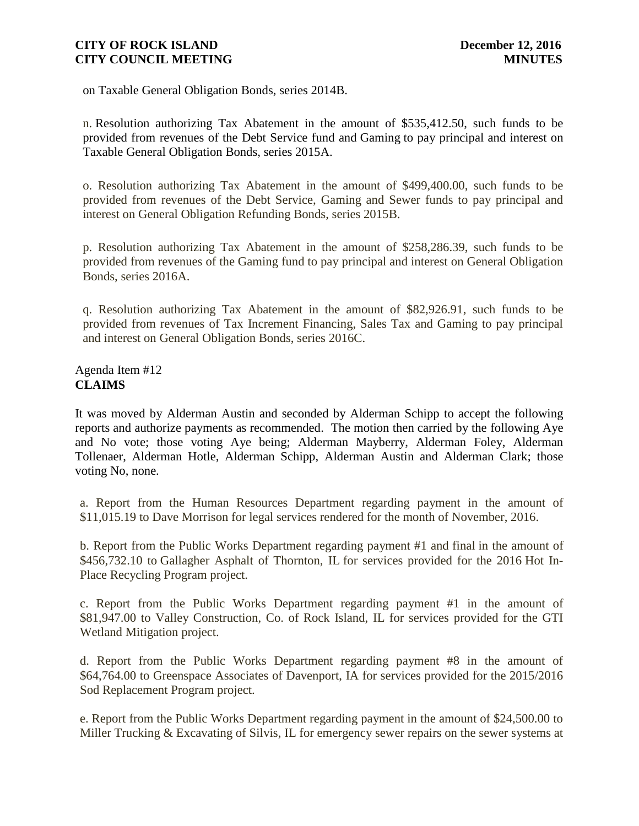on Taxable General Obligation Bonds, series 2014B.

n. Resolution authorizing Tax Abatement in the amount of \$535,412.50, such funds to be provided from revenues of the Debt Service fund and Gaming to pay principal and interest on Taxable General Obligation Bonds, series 2015A.

o. Resolution authorizing Tax Abatement in the amount of \$499,400.00, such funds to be provided from revenues of the Debt Service, Gaming and Sewer funds to pay principal and interest on General Obligation Refunding Bonds, series 2015B.

p. Resolution authorizing Tax Abatement in the amount of \$258,286.39, such funds to be provided from revenues of the Gaming fund to pay principal and interest on General Obligation Bonds, series 2016A.

q. Resolution authorizing Tax Abatement in the amount of \$82,926.91, such funds to be provided from revenues of Tax Increment Financing, Sales Tax and Gaming to pay principal and interest on General Obligation Bonds, series 2016C.

Agenda Item #12 **CLAIMS**

It was moved by Alderman Austin and seconded by Alderman Schipp to accept the following reports and authorize payments as recommended. The motion then carried by the following Aye and No vote; those voting Aye being; Alderman Mayberry, Alderman Foley, Alderman Tollenaer, Alderman Hotle, Alderman Schipp, Alderman Austin and Alderman Clark; those voting No, none.

a. Report from the Human Resources Department regarding payment in the amount of \$11,015.19 to Dave Morrison for legal services rendered for the month of November, 2016.

b. Report from the Public Works Department regarding payment #1 and final in the amount of \$456,732.10 to Gallagher Asphalt of Thornton, IL for services provided for the 2016 Hot In-Place Recycling Program project.

c. Report from the Public Works Department regarding payment #1 in the amount of \$81,947.00 to Valley Construction, Co. of Rock Island, IL for services provided for the GTI Wetland Mitigation project.

d. Report from the Public Works Department regarding payment #8 in the amount of \$64,764.00 to Greenspace Associates of Davenport, IA for services provided for the 2015/2016 Sod Replacement Program project.

e. Report from the Public Works Department regarding payment in the amount of \$24,500.00 to Miller Trucking & Excavating of Silvis, IL for emergency sewer repairs on the sewer systems at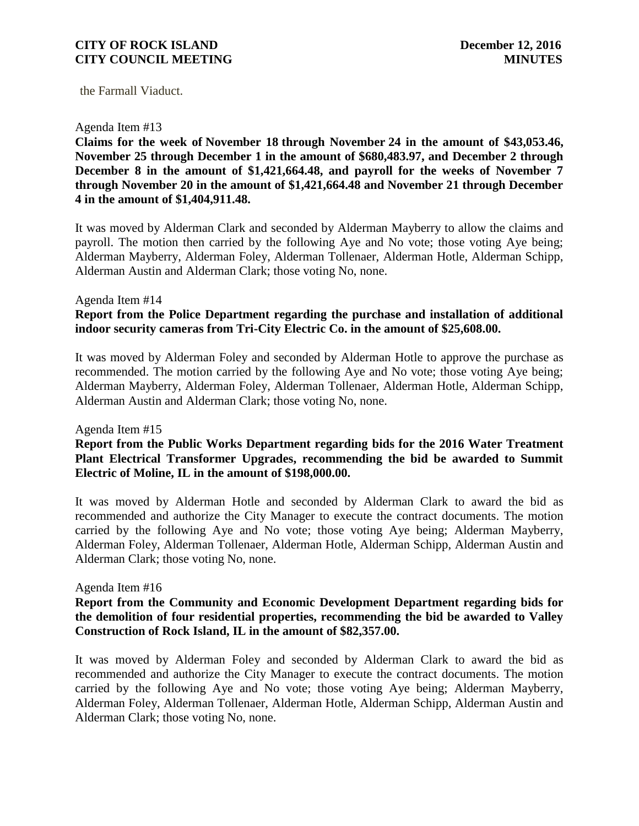the Farmall Viaduct.

#### Agenda Item #13

**Claims for the week of November 18 through November 24 in the amount of \$43,053.46, November 25 through December 1 in the amount of \$680,483.97, and December 2 through December 8 in the amount of \$1,421,664.48, and payroll for the weeks of November 7 through November 20 in the amount of \$1,421,664.48 and November 21 through December 4 in the amount of \$1,404,911.48.**

It was moved by Alderman Clark and seconded by Alderman Mayberry to allow the claims and payroll. The motion then carried by the following Aye and No vote; those voting Aye being; Alderman Mayberry, Alderman Foley, Alderman Tollenaer, Alderman Hotle, Alderman Schipp, Alderman Austin and Alderman Clark; those voting No, none.

### Agenda Item #14 **Report from the Police Department regarding the purchase and installation of additional indoor security cameras from Tri-City Electric Co. in the amount of \$25,608.00.**

It was moved by Alderman Foley and seconded by Alderman Hotle to approve the purchase as recommended. The motion carried by the following Aye and No vote; those voting Aye being; Alderman Mayberry, Alderman Foley, Alderman Tollenaer, Alderman Hotle, Alderman Schipp, Alderman Austin and Alderman Clark; those voting No, none.

#### Agenda Item #15

### **Report from the Public Works Department regarding bids for the 2016 Water Treatment Plant Electrical Transformer Upgrades, recommending the bid be awarded to Summit Electric of Moline, IL in the amount of \$198,000.00.**

It was moved by Alderman Hotle and seconded by Alderman Clark to award the bid as recommended and authorize the City Manager to execute the contract documents. The motion carried by the following Aye and No vote; those voting Aye being; Alderman Mayberry, Alderman Foley, Alderman Tollenaer, Alderman Hotle, Alderman Schipp, Alderman Austin and Alderman Clark; those voting No, none.

#### Agenda Item #16

### **Report from the Community and Economic Development Department regarding bids for the demolition of four residential properties, recommending the bid be awarded to Valley Construction of Rock Island, IL in the amount of \$82,357.00.**

It was moved by Alderman Foley and seconded by Alderman Clark to award the bid as recommended and authorize the City Manager to execute the contract documents. The motion carried by the following Aye and No vote; those voting Aye being; Alderman Mayberry, Alderman Foley, Alderman Tollenaer, Alderman Hotle, Alderman Schipp, Alderman Austin and Alderman Clark; those voting No, none.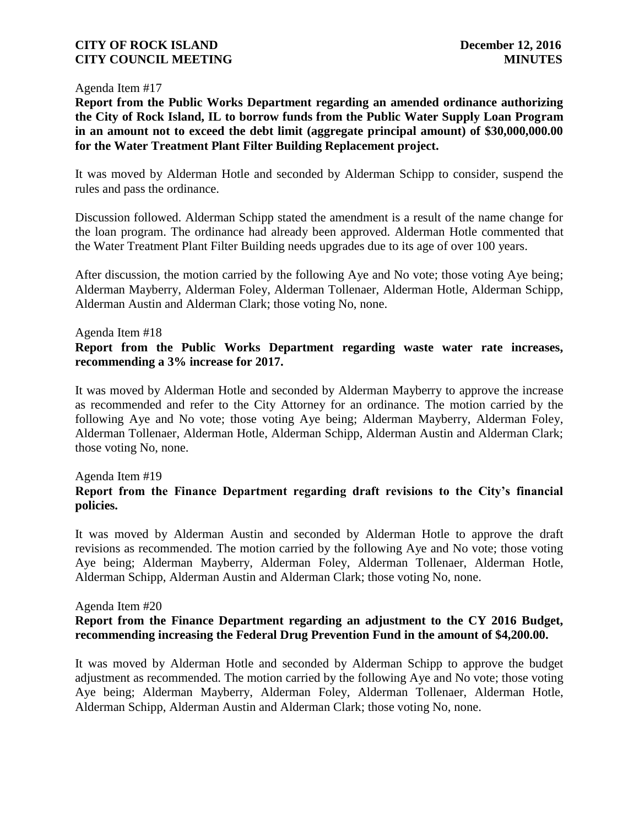#### Agenda Item #17

**Report from the Public Works Department regarding an amended ordinance authorizing the City of Rock Island, IL to borrow funds from the Public Water Supply Loan Program in an amount not to exceed the debt limit (aggregate principal amount) of \$30,000,000.00 for the Water Treatment Plant Filter Building Replacement project.**

It was moved by Alderman Hotle and seconded by Alderman Schipp to consider, suspend the rules and pass the ordinance.

Discussion followed. Alderman Schipp stated the amendment is a result of the name change for the loan program. The ordinance had already been approved. Alderman Hotle commented that the Water Treatment Plant Filter Building needs upgrades due to its age of over 100 years.

After discussion, the motion carried by the following Aye and No vote; those voting Aye being; Alderman Mayberry, Alderman Foley, Alderman Tollenaer, Alderman Hotle, Alderman Schipp, Alderman Austin and Alderman Clark; those voting No, none.

#### Agenda Item #18

**Report from the Public Works Department regarding waste water rate increases, recommending a 3% increase for 2017.**

It was moved by Alderman Hotle and seconded by Alderman Mayberry to approve the increase as recommended and refer to the City Attorney for an ordinance. The motion carried by the following Aye and No vote; those voting Aye being; Alderman Mayberry, Alderman Foley, Alderman Tollenaer, Alderman Hotle, Alderman Schipp, Alderman Austin and Alderman Clark; those voting No, none.

### Agenda Item #19

# **Report from the Finance Department regarding draft revisions to the City's financial policies.**

It was moved by Alderman Austin and seconded by Alderman Hotle to approve the draft revisions as recommended. The motion carried by the following Aye and No vote; those voting Aye being; Alderman Mayberry, Alderman Foley, Alderman Tollenaer, Alderman Hotle, Alderman Schipp, Alderman Austin and Alderman Clark; those voting No, none.

#### Agenda Item #20

### **Report from the Finance Department regarding an adjustment to the CY 2016 Budget, recommending increasing the Federal Drug Prevention Fund in the amount of \$4,200.00.**

It was moved by Alderman Hotle and seconded by Alderman Schipp to approve the budget adjustment as recommended. The motion carried by the following Aye and No vote; those voting Aye being; Alderman Mayberry, Alderman Foley, Alderman Tollenaer, Alderman Hotle, Alderman Schipp, Alderman Austin and Alderman Clark; those voting No, none.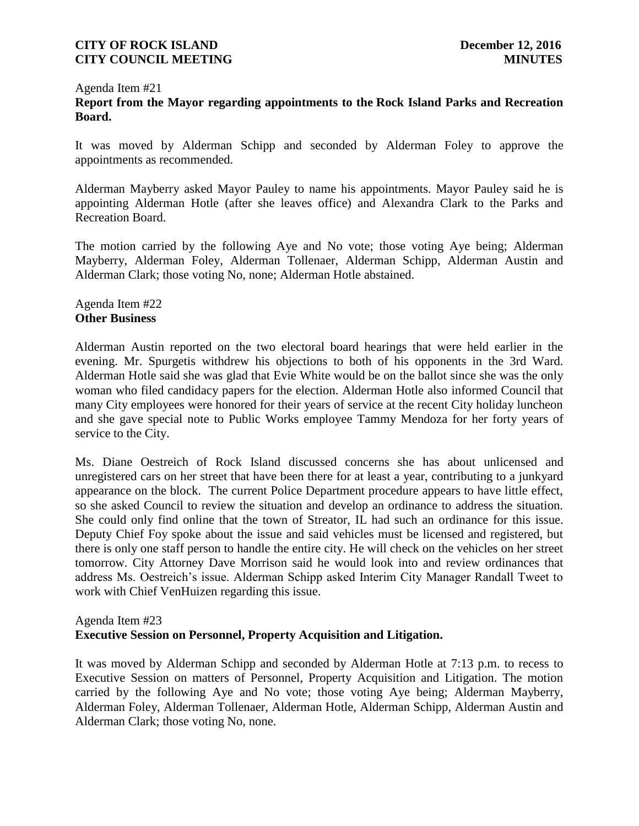### Agenda Item #21 **Report from the Mayor regarding appointments to the Rock Island Parks and Recreation Board.**

It was moved by Alderman Schipp and seconded by Alderman Foley to approve the appointments as recommended.

Alderman Mayberry asked Mayor Pauley to name his appointments. Mayor Pauley said he is appointing Alderman Hotle (after she leaves office) and Alexandra Clark to the Parks and Recreation Board.

The motion carried by the following Aye and No vote; those voting Aye being; Alderman Mayberry, Alderman Foley, Alderman Tollenaer, Alderman Schipp, Alderman Austin and Alderman Clark; those voting No, none; Alderman Hotle abstained.

### Agenda Item #22 **Other Business**

Alderman Austin reported on the two electoral board hearings that were held earlier in the evening. Mr. Spurgetis withdrew his objections to both of his opponents in the 3rd Ward. Alderman Hotle said she was glad that Evie White would be on the ballot since she was the only woman who filed candidacy papers for the election. Alderman Hotle also informed Council that many City employees were honored for their years of service at the recent City holiday luncheon and she gave special note to Public Works employee Tammy Mendoza for her forty years of service to the City.

Ms. Diane Oestreich of Rock Island discussed concerns she has about unlicensed and unregistered cars on her street that have been there for at least a year, contributing to a junkyard appearance on the block. The current Police Department procedure appears to have little effect, so she asked Council to review the situation and develop an ordinance to address the situation. She could only find online that the town of Streator, IL had such an ordinance for this issue. Deputy Chief Foy spoke about the issue and said vehicles must be licensed and registered, but there is only one staff person to handle the entire city. He will check on the vehicles on her street tomorrow. City Attorney Dave Morrison said he would look into and review ordinances that address Ms. Oestreich's issue. Alderman Schipp asked Interim City Manager Randall Tweet to work with Chief VenHuizen regarding this issue.

### Agenda Item #23

# **Executive Session on Personnel, Property Acquisition and Litigation.**

It was moved by Alderman Schipp and seconded by Alderman Hotle at 7:13 p.m. to recess to Executive Session on matters of Personnel, Property Acquisition and Litigation. The motion carried by the following Aye and No vote; those voting Aye being; Alderman Mayberry, Alderman Foley, Alderman Tollenaer, Alderman Hotle, Alderman Schipp, Alderman Austin and Alderman Clark; those voting No, none.